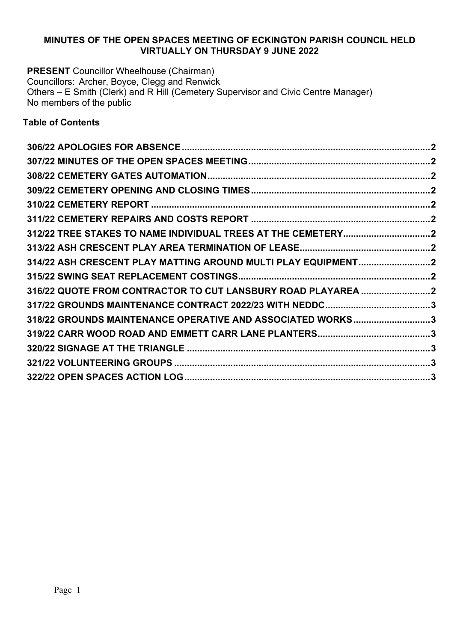## **MINUTES OF THE OPEN SPACES MEETING OF ECKINGTON PARISH COUNCIL HELD VIRTUALLY ON THURSDAY 9 JUNE 2022**

**PRESENT** Councillor Wheelhouse (Chairman) Councillors: Archer, Boyce, Clegg and Renwick Others – E Smith (Clerk) and R Hill (Cemetery Supervisor and Civic Centre Manager) No members of the public

## **Table of Contents**

| 314/22 ASH CRESCENT PLAY MATTING AROUND MULTI PLAY EQUIPMENT2 |  |
|---------------------------------------------------------------|--|
|                                                               |  |
| 316/22 QUOTE FROM CONTRACTOR TO CUT LANSBURY ROAD PLAYAREA    |  |
|                                                               |  |
| 318/22 GROUNDS MAINTENANCE OPERATIVE AND ASSOCIATED WORKS3    |  |
|                                                               |  |
|                                                               |  |
|                                                               |  |
|                                                               |  |
|                                                               |  |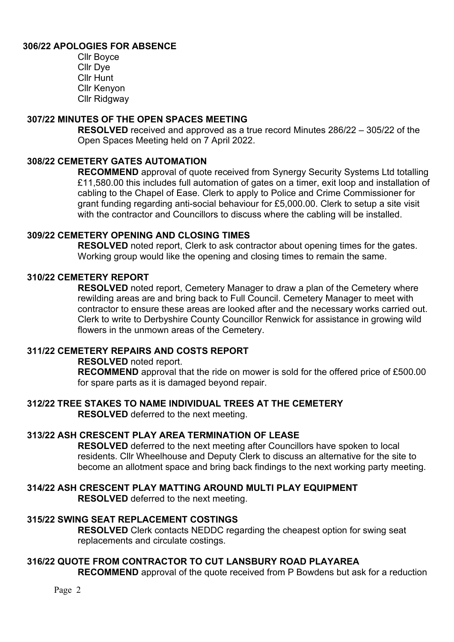## **306/22 APOLOGIES FOR ABSENCE**

Cllr Boyce Cllr Dye Cllr Hunt Cllr Kenyon Cllr Ridgway

#### **307/22 MINUTES OF THE OPEN SPACES MEETING**

**RESOLVED** received and approved as a true record Minutes 286/22 – 305/22 of the Open Spaces Meeting held on 7 April 2022.

## **308/22 CEMETERY GATES AUTOMATION**

**RECOMMEND** approval of quote received from Synergy Security Systems Ltd totalling £11,580.00 this includes full automation of gates on a timer, exit loop and installation of cabling to the Chapel of Ease. Clerk to apply to Police and Crime Commissioner for grant funding regarding anti-social behaviour for £5,000.00. Clerk to setup a site visit with the contractor and Councillors to discuss where the cabling will be installed.

## **309/22 CEMETERY OPENING AND CLOSING TIMES**

**RESOLVED** noted report, Clerk to ask contractor about opening times for the gates. Working group would like the opening and closing times to remain the same.

## **310/22 CEMETERY REPORT**

**RESOLVED** noted report, Cemetery Manager to draw a plan of the Cemetery where rewilding areas are and bring back to Full Council. Cemetery Manager to meet with contractor to ensure these areas are looked after and the necessary works carried out. Clerk to write to Derbyshire County Councillor Renwick for assistance in growing wild flowers in the unmown areas of the Cemetery.

# **311/22 CEMETERY REPAIRS AND COSTS REPORT**

**RESOLVED** noted report.

**RECOMMEND** approval that the ride on mower is sold for the offered price of £500.00 for spare parts as it is damaged beyond repair.

# **312/22 TREE STAKES TO NAME INDIVIDUAL TREES AT THE CEMETERY**

**RESOLVED** deferred to the next meeting.

# **313/22 ASH CRESCENT PLAY AREA TERMINATION OF LEASE**

**RESOLVED** deferred to the next meeting after Councillors have spoken to local residents. Cllr Wheelhouse and Deputy Clerk to discuss an alternative for the site to become an allotment space and bring back findings to the next working party meeting.

# **314/22 ASH CRESCENT PLAY MATTING AROUND MULTI PLAY EQUIPMENT**

**RESOLVED** deferred to the next meeting.

# **315/22 SWING SEAT REPLACEMENT COSTINGS**

**RESOLVED** Clerk contacts NEDDC regarding the cheapest option for swing seat replacements and circulate costings.

# **316/22 QUOTE FROM CONTRACTOR TO CUT LANSBURY ROAD PLAYAREA**

**RECOMMEND** approval of the quote received from P Bowdens but ask for a reduction